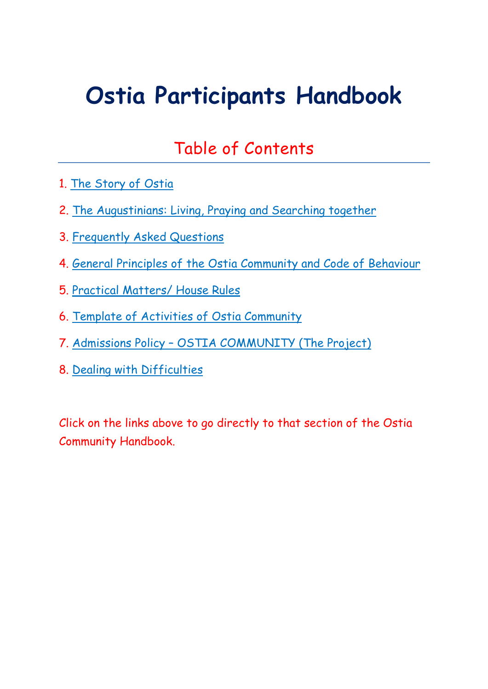# <span id="page-0-0"></span>**Ostia Participants Handbook**

# Table of Contents

- 1. [The Story of Ostia](#page-1-0)
- 2. The Augustinians: Living, [Praying and Searching together](#page-3-0)
- 3. [Frequently Asked Questions](#page-7-0)
- 4. [General Principles of the Ostia Community](#page-9-0) and Code of Behaviour
- 5. [Practical Matters/ House Rules](#page-13-0)
- 6. [Template of Activities of Ostia Community](#page-15-0)
- 7. [Admissions Policy OSTIA COMMUNITY \(The Project\)](#page-19-0)
- 8. [Dealing with Difficulties](#page-24-0)

Click on the links above to go directly to that section of the Ostia Community Handbook.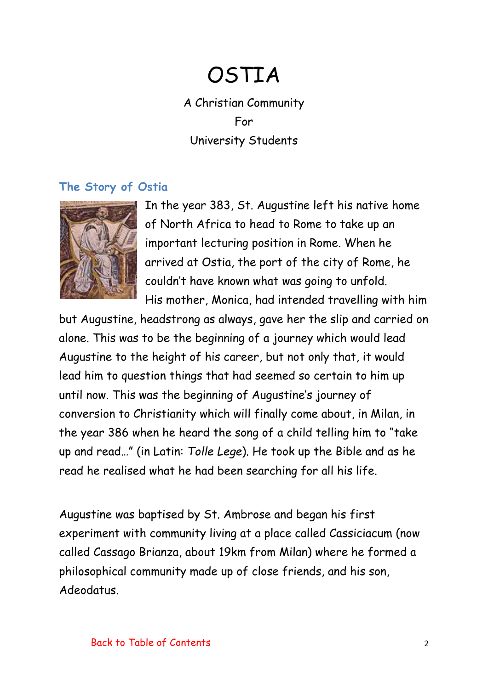# OSTIA

A Christian Community For University Students

#### <span id="page-1-0"></span>**The Story of Ostia**



In the year 383, St. Augustine left his native home of North Africa to head to Rome to take up an important lecturing position in Rome. When he arrived at Ostia, the port of the city of Rome, he couldn't have known what was going to unfold. His mother, Monica, had intended travelling with him

but Augustine, headstrong as always, gave her the slip and carried on alone. This was to be the beginning of a journey which would lead Augustine to the height of his career, but not only that, it would lead him to question things that had seemed so certain to him up until now. This was the beginning of Augustine's journey of conversion to Christianity which will finally come about, in Milan, in the year 386 when he heard the song of a child telling him to "take up and read…" (in Latin: *Tolle Lege*). He took up the Bible and as he read he realised what he had been searching for all his life.

Augustine was baptised by St. Ambrose and began his first experiment with community living at a place called Cassiciacum (now called Cassago Brianza, about 19km from Milan) where he formed a philosophical community made up of close friends, and his son, Adeodatus.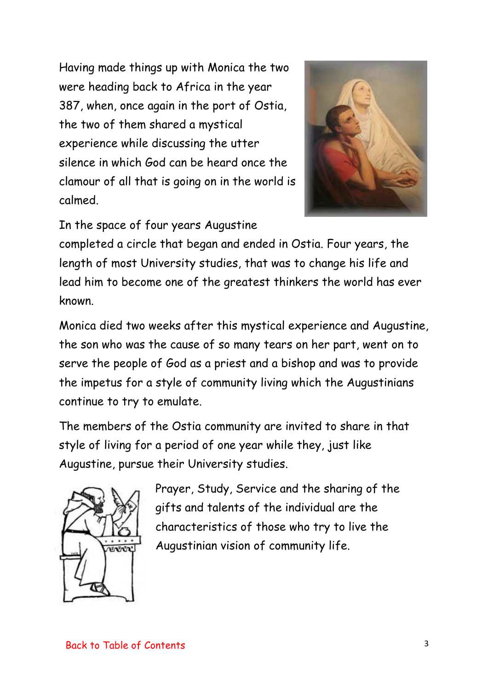Having made things up with Monica the two were heading back to Africa in the year 387, when, once again in the port of Ostia, the two of them shared a mystical experience while discussing the utter silence in which God can be heard once the clamour of all that is going on in the world is calmed.



### In the space of four years Augustine

completed a circle that began and ended in Ostia. Four years, the length of most University studies, that was to change his life and lead him to become one of the greatest thinkers the world has ever known.

Monica died two weeks after this mystical experience and Augustine, the son who was the cause of so many tears on her part, went on to serve the people of God as a priest and a bishop and was to provide the impetus for a style of community living which the Augustinians continue to try to emulate.

The members of the Ostia community are invited to share in that style of living for a period of one year while they, just like Augustine, pursue their University studies.



Prayer, Study, Service and the sharing of the gifts and talents of the individual are the characteristics of those who try to live the Augustinian vision of community life.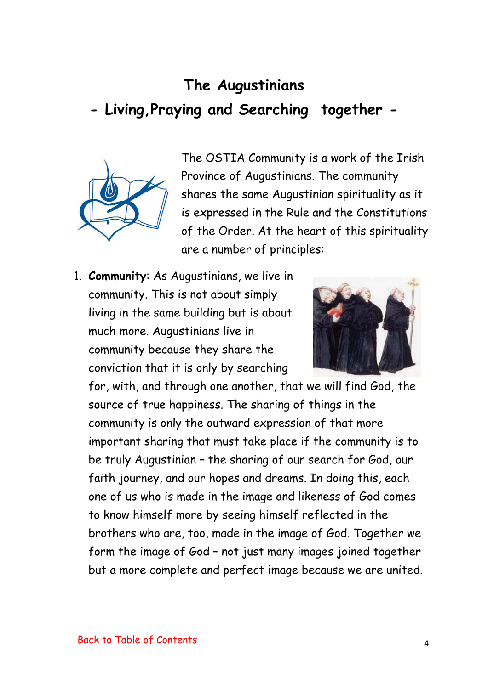# <span id="page-3-0"></span>**The Augustinians - Living,Praying and Searching together -**



The OSTIA Community is a work of the Irish Province of Augustinians. The community shares the same Augustinian spirituality as it is expressed in the Rule and the Constitutions of the Order. At the heart of this spirituality are a number of principles:

1. **Community**: As Augustinians, we live in community. This is not about simply living in the same building but is about much more. Augustinians live in community because they share the conviction that it is only by searching



for, with, and through one another, that we will find God, the source of true happiness. The sharing of things in the community is only the outward expression of that more important sharing that must take place if the community is to be truly Augustinian – the sharing of our search for God, our faith journey, and our hopes and dreams. In doing this, each one of us who is made in the image and likeness of God comes to know himself more by seeing himself reflected in the brothers who are, too, made in the image of God. Together we form the image of God – not just many images joined together but a more complete and perfect image because we are united.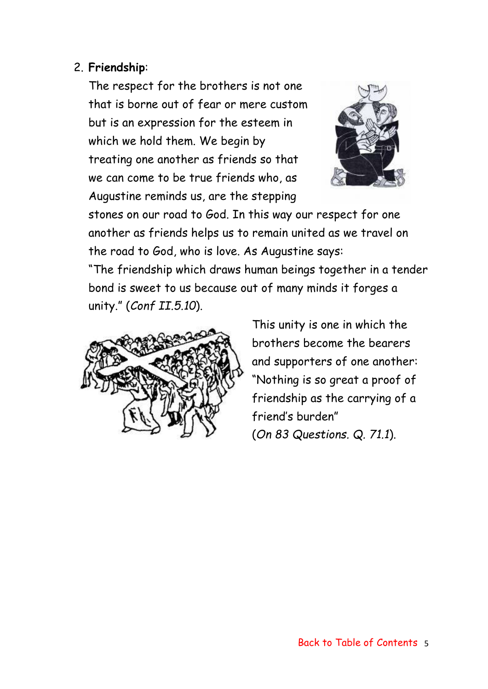#### 2. **Friendship**:

The respect for the brothers is not one that is borne out of fear or mere custom but is an expression for the esteem in which we hold them. We begin by treating one another as friends so that we can come to be true friends who, as Augustine reminds us, are the stepping



stones on our road to God. In this way our respect for one another as friends helps us to remain united as we travel on the road to God, who is love. As Augustine says:

"The friendship which draws human beings together in a tender bond is sweet to us because out of many minds it forges a unity." (*Conf II.5.10*).



This unity is one in which the brothers become the bearers and supporters of one another: "Nothing is so great a proof of friendship as the carrying of a friend's burden" (*On 83 Questions. Q. 71.1*).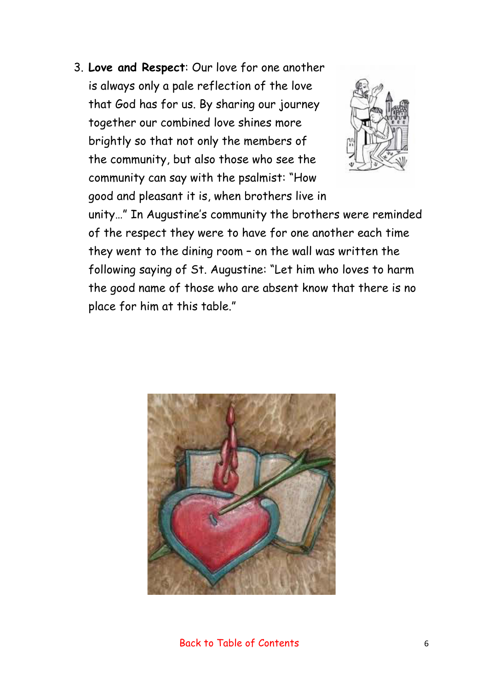3. **Love and Respect**: Our love for one another is always only a pale reflection of the love that God has for us. By sharing our journey together our combined love shines more brightly so that not only the members of the community, but also those who see the community can say with the psalmist: "How good and pleasant it is, when brothers live in



unity…" In Augustine's community the brothers were reminded of the respect they were to have for one another each time they went to the dining room – on the wall was written the following saying of St. Augustine: "Let him who loves to harm the good name of those who are absent know that there is no place for him at this table."

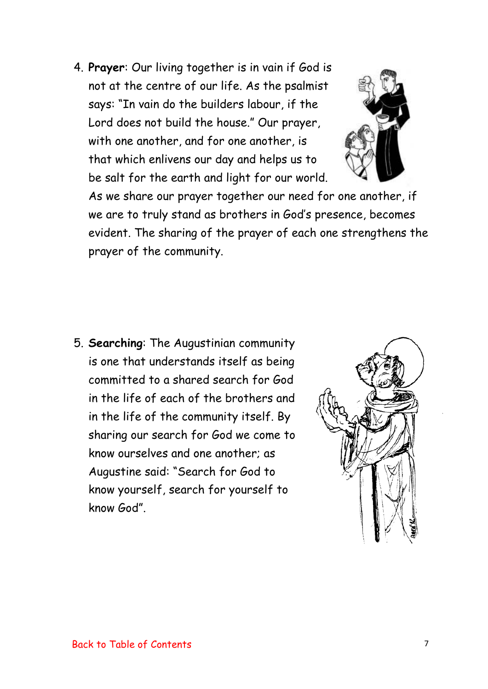4. **Prayer**: Our living together is in vain if God is not at the centre of our life. As the psalmist says: "In vain do the builders labour, if the Lord does not build the house." Our prayer, with one another, and for one another, is that which enlivens our day and helps us to be salt for the earth and light for our world.



As we share our prayer together our need for one another, if we are to truly stand as brothers in God's presence, becomes evident. The sharing of the prayer of each one strengthens the prayer of the community.

5. **Searching**: The Augustinian community is one that understands itself as being committed to a shared search for God in the life of each of the brothers and in the life of the community itself. By sharing our search for God we come to know ourselves and one another; as Augustine said: "Search for God to know yourself, search for yourself to know God".

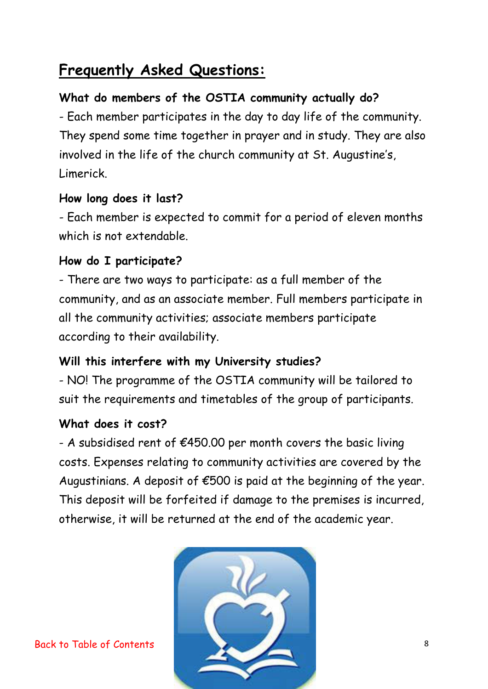# <span id="page-7-0"></span>**Frequently Asked Questions:**

## **What do members of the OSTIA community actually do?**

- Each member participates in the day to day life of the community. They spend some time together in prayer and in study. They are also involved in the life of the church community at St. Augustine's, Limerick.

### **How long does it last?**

- Each member is expected to commit for a period of eleven months which is not extendable.

### **How do I participate?**

- There are two ways to participate: as a full member of the community, and as an associate member. Full members participate in all the community activities; associate members participate according to their availability.

### **Will this interfere with my University studies?**

- NO! The programme of the OSTIA community will be tailored to suit the requirements and timetables of the group of participants.

#### **What does it cost?**

- A subsidised rent of  $\epsilon$ 450.00 per month covers the basic living costs. Expenses relating to community activities are covered by the Augustinians. A deposit of  $\epsilon$ 500 is paid at the beginning of the year. This deposit will be forfeited if damage to the premises is incurred, otherwise, it will be returned at the end of the academic year.



[Back to Table of Contents](#page-0-0)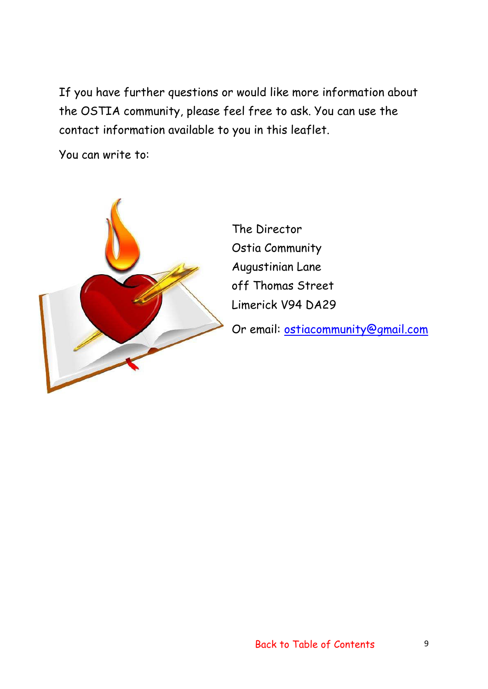If you have further questions or would like more information about the OSTIA community, please feel free to ask. You can use the contact information available to you in this leaflet.

You can write to:



The Director Ostia Community Augustinian Lane off Thomas Street Limerick V94 DA29

Or email: [ostiacommunity@gmail.com](mailto:ostiacommunity@gmail.com)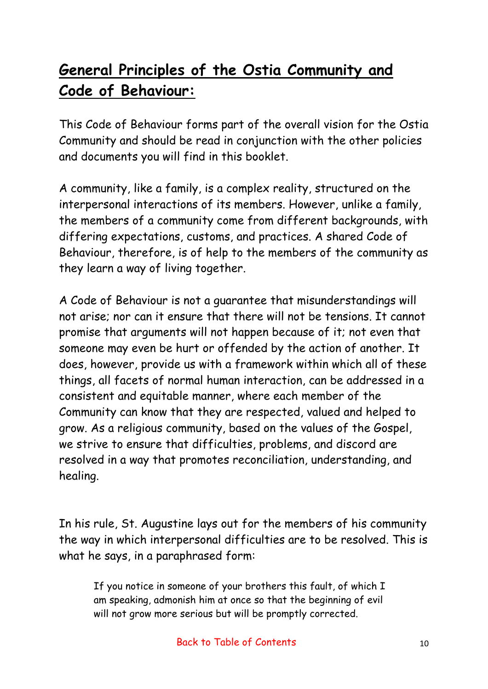# <span id="page-9-0"></span>**General Principles of the Ostia Community and Code of Behaviour:**

This Code of Behaviour forms part of the overall vision for the Ostia Community and should be read in conjunction with the other policies and documents you will find in this booklet.

A community, like a family, is a complex reality, structured on the interpersonal interactions of its members. However, unlike a family, the members of a community come from different backgrounds, with differing expectations, customs, and practices. A shared Code of Behaviour, therefore, is of help to the members of the community as they learn a way of living together.

A Code of Behaviour is not a guarantee that misunderstandings will not arise; nor can it ensure that there will not be tensions. It cannot promise that arguments will not happen because of it; not even that someone may even be hurt or offended by the action of another. It does, however, provide us with a framework within which all of these things, all facets of normal human interaction, can be addressed in a consistent and equitable manner, where each member of the Community can know that they are respected, valued and helped to grow. As a religious community, based on the values of the Gospel, we strive to ensure that difficulties, problems, and discord are resolved in a way that promotes reconciliation, understanding, and healing.

In his rule, St. Augustine lays out for the members of his community the way in which interpersonal difficulties are to be resolved. This is what he says, in a paraphrased form:

If you notice in someone of your brothers this fault, of which I am speaking, admonish him at once so that the beginning of evil will not grow more serious but will be promptly corrected.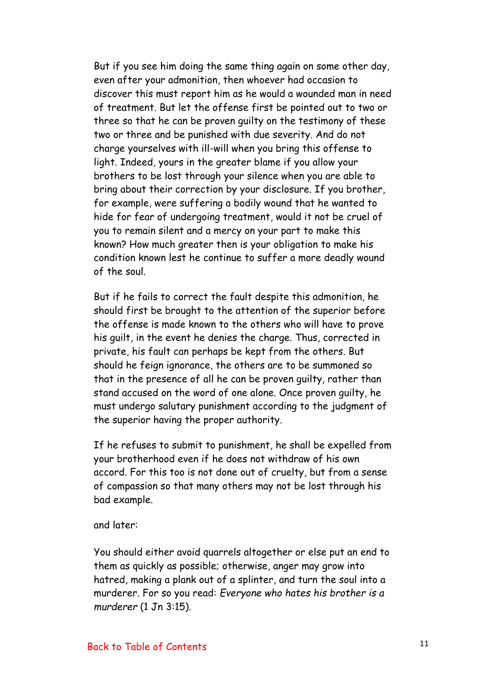But if you see him doing the same thing again on some other day, even after your admonition, then whoever had occasion to discover this must report him as he would a wounded man in need of treatment. But let the offense first be pointed out to two or three so that he can be proven guilty on the testimony of these two or three and be punished with due severity. And do not charge yourselves with ill-will when you bring this offense to light. Indeed, yours in the greater blame if you allow your brothers to be lost through your silence when you are able to bring about their correction by your disclosure. If you brother, for example, were suffering a bodily wound that he wanted to hide for fear of undergoing treatment, would it not be cruel of you to remain silent and a mercy on your part to make this known? How much greater then is your obligation to make his condition known lest he continue to suffer a more deadly wound of the soul.

But if he fails to correct the fault despite this admonition, he should first be brought to the attention of the superior before the offense is made known to the others who will have to prove his guilt, in the event he denies the charge. Thus, corrected in private, his fault can perhaps be kept from the others. But should he feign ignorance, the others are to be summoned so that in the presence of all he can be proven guilty, rather than stand accused on the word of one alone. Once proven guilty, he must undergo salutary punishment according to the judgment of the superior having the proper authority.

If he refuses to submit to punishment, he shall be expelled from your brotherhood even if he does not withdraw of his own accord. For this too is not done out of cruelty, but from a sense of compassion so that many others may not be lost through his bad example.

and later:

You should either avoid quarrels altogether or else put an end to them as quickly as possible; otherwise, anger may grow into hatred, making a plank out of a splinter, and turn the soul into a murderer. For so you read: *Everyone who hates his brother is a murderer* (1 Jn 3:15).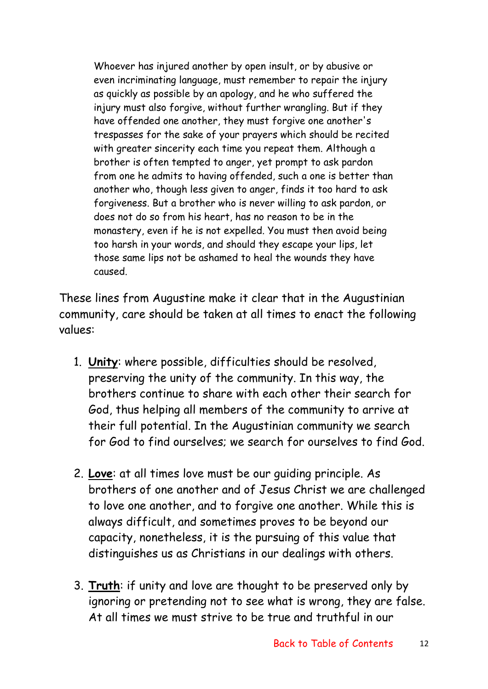Whoever has injured another by open insult, or by abusive or even incriminating language, must remember to repair the injury as quickly as possible by an apology, and he who suffered the injury must also forgive, without further wrangling. But if they have offended one another, they must forgive one another's trespasses for the sake of your prayers which should be recited with greater sincerity each time you repeat them. Although a brother is often tempted to anger, yet prompt to ask pardon from one he admits to having offended, such a one is better than another who, though less given to anger, finds it too hard to ask forgiveness. But a brother who is never willing to ask pardon, or does not do so from his heart, has no reason to be in the monastery, even if he is not expelled. You must then avoid being too harsh in your words, and should they escape your lips, let those same lips not be ashamed to heal the wounds they have caused.

These lines from Augustine make it clear that in the Augustinian community, care should be taken at all times to enact the following values:

- 1. **Unity**: where possible, difficulties should be resolved, preserving the unity of the community. In this way, the brothers continue to share with each other their search for God, thus helping all members of the community to arrive at their full potential. In the Augustinian community we search for God to find ourselves; we search for ourselves to find God.
- 2. **Love**: at all times love must be our guiding principle. As brothers of one another and of Jesus Christ we are challenged to love one another, and to forgive one another. While this is always difficult, and sometimes proves to be beyond our capacity, nonetheless, it is the pursuing of this value that distinguishes us as Christians in our dealings with others.
- 3. **Truth**: if unity and love are thought to be preserved only by ignoring or pretending not to see what is wrong, they are false. At all times we must strive to be true and truthful in our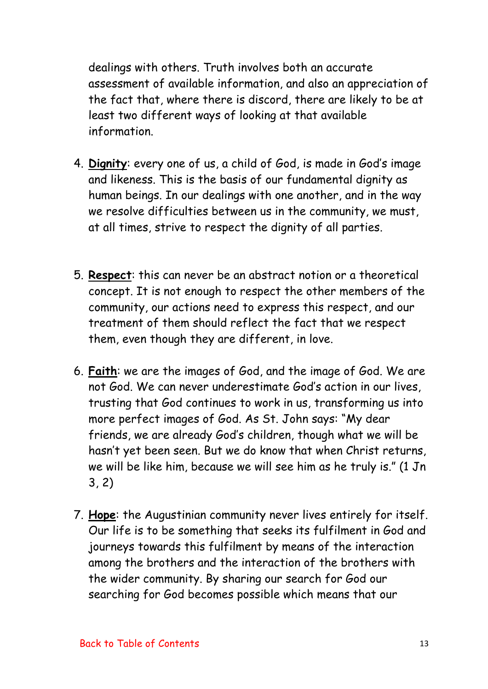dealings with others. Truth involves both an accurate assessment of available information, and also an appreciation of the fact that, where there is discord, there are likely to be at least two different ways of looking at that available information.

- 4. **Dignity**: every one of us, a child of God, is made in God's image and likeness. This is the basis of our fundamental dignity as human beings. In our dealings with one another, and in the way we resolve difficulties between us in the community, we must, at all times, strive to respect the dignity of all parties.
- 5. **Respect**: this can never be an abstract notion or a theoretical concept. It is not enough to respect the other members of the community, our actions need to express this respect, and our treatment of them should reflect the fact that we respect them, even though they are different, in love.
- 6. **Faith**: we are the images of God, and the image of God. We are not God. We can never underestimate God's action in our lives, trusting that God continues to work in us, transforming us into more perfect images of God. As St. John says: "My dear friends, we are already God's children, though what we will be hasn't yet been seen. But we do know that when Christ returns, we will be like him, because we will see him as he truly is." (1 Jn 3, 2)
- 7. **Hope**: the Augustinian community never lives entirely for itself. Our life is to be something that seeks its fulfilment in God and journeys towards this fulfilment by means of the interaction among the brothers and the interaction of the brothers with the wider community. By sharing our search for God our searching for God becomes possible which means that our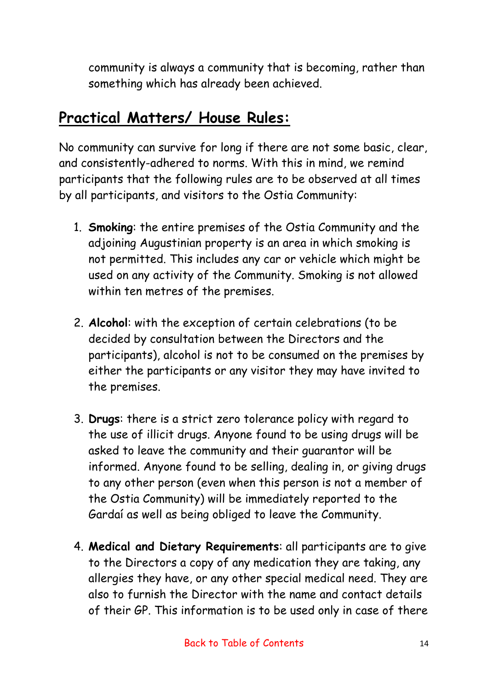<span id="page-13-0"></span>community is always a community that is becoming, rather than something which has already been achieved.

# **Practical Matters/ House Rules:**

No community can survive for long if there are not some basic, clear, and consistently-adhered to norms. With this in mind, we remind participants that the following rules are to be observed at all times by all participants, and visitors to the Ostia Community:

- 1. **Smoking**: the entire premises of the Ostia Community and the adjoining Augustinian property is an area in which smoking is not permitted. This includes any car or vehicle which might be used on any activity of the Community. Smoking is not allowed within ten metres of the premises.
- 2. **Alcohol**: with the exception of certain celebrations (to be decided by consultation between the Directors and the participants), alcohol is not to be consumed on the premises by either the participants or any visitor they may have invited to the premises.
- 3. **Drugs**: there is a strict zero tolerance policy with regard to the use of illicit drugs. Anyone found to be using drugs will be asked to leave the community and their guarantor will be informed. Anyone found to be selling, dealing in, or giving drugs to any other person (even when this person is not a member of the Ostia Community) will be immediately reported to the Gardaí as well as being obliged to leave the Community.
- 4. **Medical and Dietary Requirements**: all participants are to give to the Directors a copy of any medication they are taking, any allergies they have, or any other special medical need. They are also to furnish the Director with the name and contact details of their GP. This information is to be used only in case of there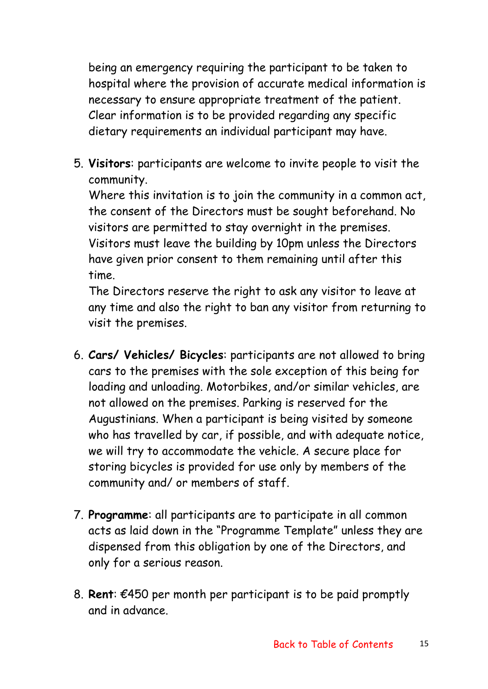being an emergency requiring the participant to be taken to hospital where the provision of accurate medical information is necessary to ensure appropriate treatment of the patient. Clear information is to be provided regarding any specific dietary requirements an individual participant may have.

5. **Visitors**: participants are welcome to invite people to visit the community.

Where this invitation is to join the community in a common act, the consent of the Directors must be sought beforehand. No visitors are permitted to stay overnight in the premises. Visitors must leave the building by 10pm unless the Directors have given prior consent to them remaining until after this time.

The Directors reserve the right to ask any visitor to leave at any time and also the right to ban any visitor from returning to visit the premises.

- 6. **Cars/ Vehicles/ Bicycles**: participants are not allowed to bring cars to the premises with the sole exception of this being for loading and unloading. Motorbikes, and/or similar vehicles, are not allowed on the premises. Parking is reserved for the Augustinians. When a participant is being visited by someone who has travelled by car, if possible, and with adequate notice, we will try to accommodate the vehicle. A secure place for storing bicycles is provided for use only by members of the community and/ or members of staff.
- 7. **Programme**: all participants are to participate in all common acts as laid down in the "Programme Template" unless they are dispensed from this obligation by one of the Directors, and only for a serious reason.
- 8. **Rent**: €450 per month per participant is to be paid promptly and in advance.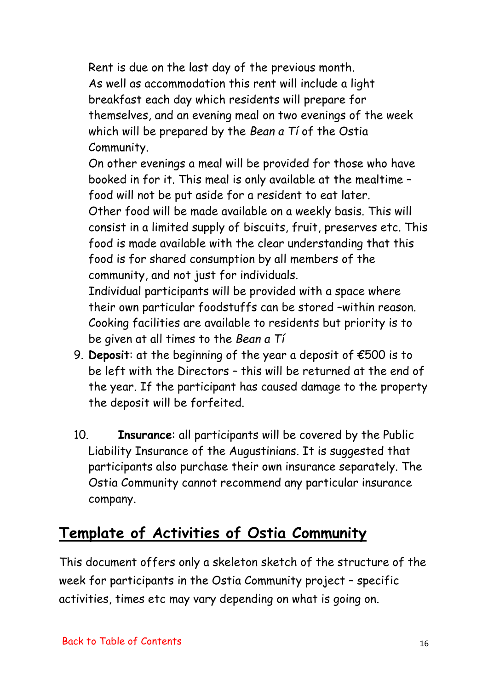<span id="page-15-0"></span>Rent is due on the last day of the previous month. As well as accommodation this rent will include a light breakfast each day which residents will prepare for themselves, and an evening meal on two evenings of the week which will be prepared by the *Bean a Tí* of the Ostia Community.

On other evenings a meal will be provided for those who have booked in for it. This meal is only available at the mealtime – food will not be put aside for a resident to eat later. Other food will be made available on a weekly basis. This will consist in a limited supply of biscuits, fruit, preserves etc. This food is made available with the clear understanding that this food is for shared consumption by all members of the community, and not just for individuals.

Individual participants will be provided with a space where their own particular foodstuffs can be stored –within reason. Cooking facilities are available to residents but priority is to be given at all times to the *Bean a Tí*

- 9. **Deposit**: at the beginning of the year a deposit of €500 is to be left with the Directors – this will be returned at the end of the year. If the participant has caused damage to the property the deposit will be forfeited.
- 10. **Insurance**: all participants will be covered by the Public Liability Insurance of the Augustinians. It is suggested that participants also purchase their own insurance separately. The Ostia Community cannot recommend any particular insurance company.

# **Template of Activities of Ostia Community**

This document offers only a skeleton sketch of the structure of the week for participants in the Ostia Community project – specific activities, times etc may vary depending on what is going on.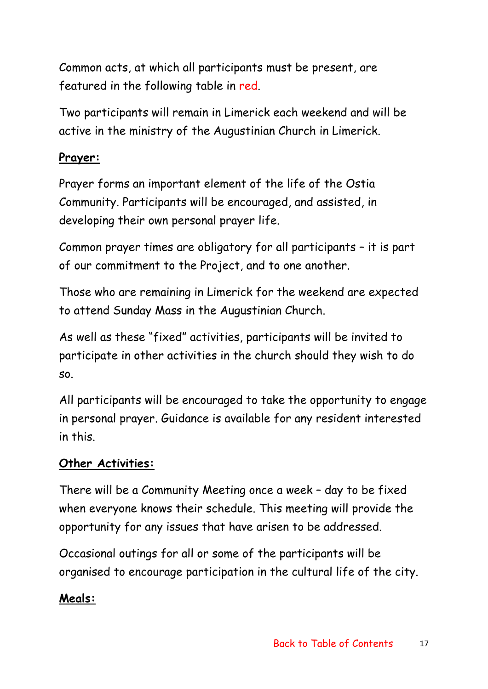Common acts, at which all participants must be present, are featured in the following table in red.

Two participants will remain in Limerick each weekend and will be active in the ministry of the Augustinian Church in Limerick.

## **Prayer:**

Prayer forms an important element of the life of the Ostia Community. Participants will be encouraged, and assisted, in developing their own personal prayer life.

Common prayer times are obligatory for all participants – it is part of our commitment to the Project, and to one another.

Those who are remaining in Limerick for the weekend are expected to attend Sunday Mass in the Augustinian Church.

As well as these "fixed" activities, participants will be invited to participate in other activities in the church should they wish to do so.

All participants will be encouraged to take the opportunity to engage in personal prayer. Guidance is available for any resident interested in this.

## **Other Activities:**

There will be a Community Meeting once a week – day to be fixed when everyone knows their schedule. This meeting will provide the opportunity for any issues that have arisen to be addressed.

Occasional outings for all or some of the participants will be organised to encourage participation in the cultural life of the city.

## **Meals:**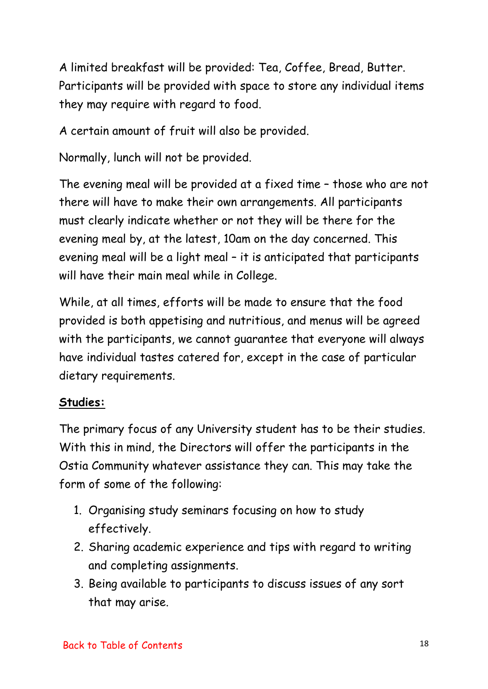A limited breakfast will be provided: Tea, Coffee, Bread, Butter. Participants will be provided with space to store any individual items they may require with regard to food.

A certain amount of fruit will also be provided.

Normally, lunch will not be provided.

The evening meal will be provided at a fixed time – those who are not there will have to make their own arrangements. All participants must clearly indicate whether or not they will be there for the evening meal by, at the latest, 10am on the day concerned. This evening meal will be a light meal – it is anticipated that participants will have their main meal while in College.

While, at all times, efforts will be made to ensure that the food provided is both appetising and nutritious, and menus will be agreed with the participants, we cannot guarantee that everyone will always have individual tastes catered for, except in the case of particular dietary requirements.

## **Studies:**

The primary focus of any University student has to be their studies. With this in mind, the Directors will offer the participants in the Ostia Community whatever assistance they can. This may take the form of some of the following:

- 1. Organising study seminars focusing on how to study effectively.
- 2. Sharing academic experience and tips with regard to writing and completing assignments.
- 3. Being available to participants to discuss issues of any sort that may arise.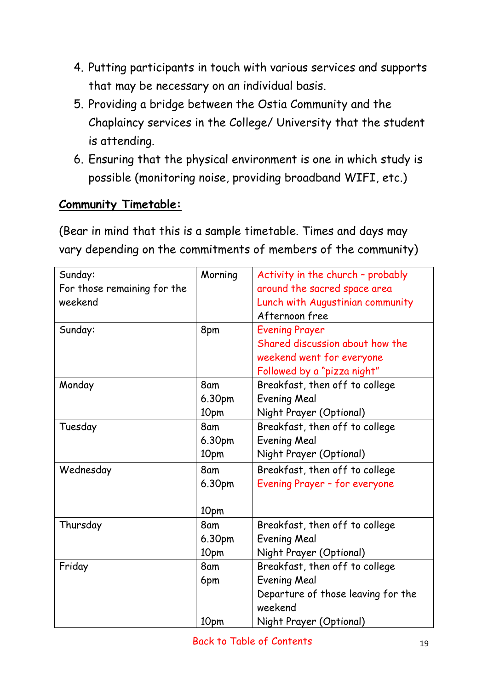- 4. Putting participants in touch with various services and supports that may be necessary on an individual basis.
- 5. Providing a bridge between the Ostia Community and the Chaplaincy services in the College/ University that the student is attending.
- 6. Ensuring that the physical environment is one in which study is possible (monitoring noise, providing broadband WIFI, etc.)

### **Community Timetable:**

(Bear in mind that this is a sample timetable. Times and days may vary depending on the commitments of members of the community)

| Sunday:                     | Morning | Activity in the church - probably  |
|-----------------------------|---------|------------------------------------|
| For those remaining for the |         | around the sacred space area       |
| weekend                     |         | Lunch with Augustinian community   |
|                             |         | Afternoon free                     |
| Sunday:                     | 8pm     | <b>Evening Prayer</b>              |
|                             |         | Shared discussion about how the    |
|                             |         | weekend went for everyone          |
|                             |         | Followed by a "pizza night"        |
| Monday                      | 8am     | Breakfast, then off to college     |
|                             | 6.30pm  | <b>Evening Meal</b>                |
|                             | 10pm    | Night Prayer (Optional)            |
| Tuesday                     | 8am     | Breakfast, then off to college     |
|                             | 6.30pm  | <b>Evening Meal</b>                |
|                             | 10pm    | Night Prayer (Optional)            |
| Wednesday                   | 8am     | Breakfast, then off to college     |
|                             | 6.30pm  | Evening Prayer - for everyone      |
|                             |         |                                    |
|                             | 10pm    |                                    |
| Thursday                    | 8am     | Breakfast, then off to college     |
|                             | 6.30pm  | <b>Evening Meal</b>                |
|                             | 10pm    | Night Prayer (Optional)            |
| Friday                      | 8am     | Breakfast, then off to college     |
|                             | 6pm     | <b>Evening Meal</b>                |
|                             |         | Departure of those leaving for the |
|                             |         | weekend                            |
|                             | 10pm    | Night Prayer (Optional)            |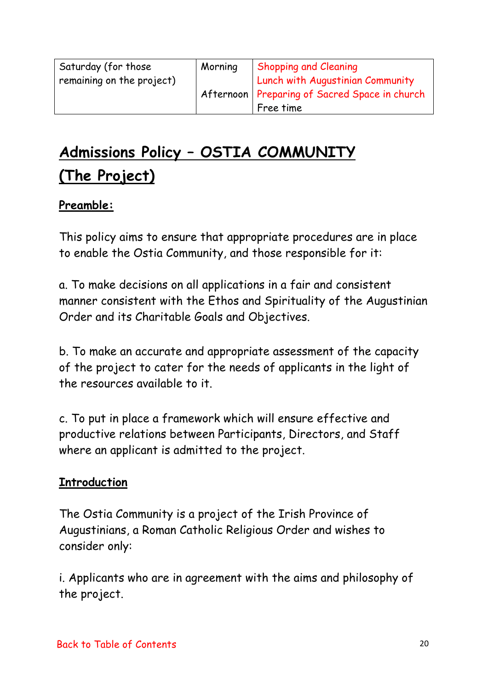<span id="page-19-0"></span>

| Saturday (for those       | Morning | <b>Shopping and Cleaning</b>                    |
|---------------------------|---------|-------------------------------------------------|
| remaining on the project) |         | Lunch with Augustinian Community                |
|                           |         | Afternoon   Preparing of Sacred Space in church |
|                           |         | Free time                                       |

# **Admissions Policy – OSTIA COMMUNITY (The Project)**

### **Preamble:**

This policy aims to ensure that appropriate procedures are in place to enable the Ostia Community, and those responsible for it:

a. To make decisions on all applications in a fair and consistent manner consistent with the Ethos and Spirituality of the Augustinian Order and its Charitable Goals and Objectives.

b. To make an accurate and appropriate assessment of the capacity of the project to cater for the needs of applicants in the light of the resources available to it.

c. To put in place a framework which will ensure effective and productive relations between Participants, Directors, and Staff where an applicant is admitted to the project.

#### **Introduction**

The Ostia Community is a project of the Irish Province of Augustinians, a Roman Catholic Religious Order and wishes to consider only:

i. Applicants who are in agreement with the aims and philosophy of the project.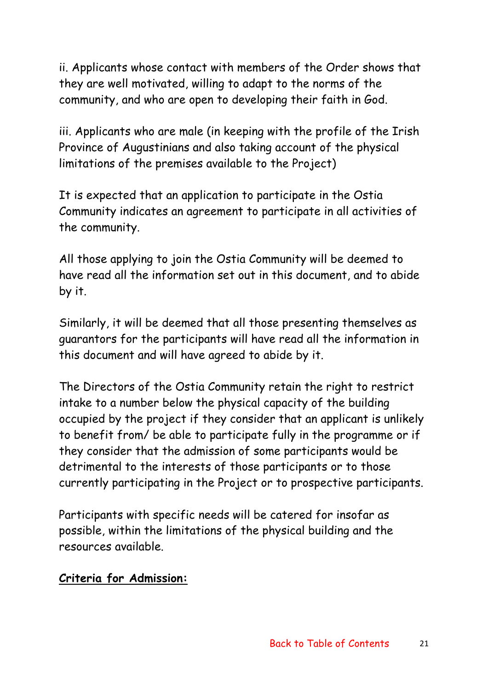ii. Applicants whose contact with members of the Order shows that they are well motivated, willing to adapt to the norms of the community, and who are open to developing their faith in God.

iii. Applicants who are male (in keeping with the profile of the Irish Province of Augustinians and also taking account of the physical limitations of the premises available to the Project)

It is expected that an application to participate in the Ostia Community indicates an agreement to participate in all activities of the community.

All those applying to join the Ostia Community will be deemed to have read all the information set out in this document, and to abide by it.

Similarly, it will be deemed that all those presenting themselves as guarantors for the participants will have read all the information in this document and will have agreed to abide by it.

The Directors of the Ostia Community retain the right to restrict intake to a number below the physical capacity of the building occupied by the project if they consider that an applicant is unlikely to benefit from/ be able to participate fully in the programme or if they consider that the admission of some participants would be detrimental to the interests of those participants or to those currently participating in the Project or to prospective participants.

Participants with specific needs will be catered for insofar as possible, within the limitations of the physical building and the resources available.

#### **Criteria for Admission:**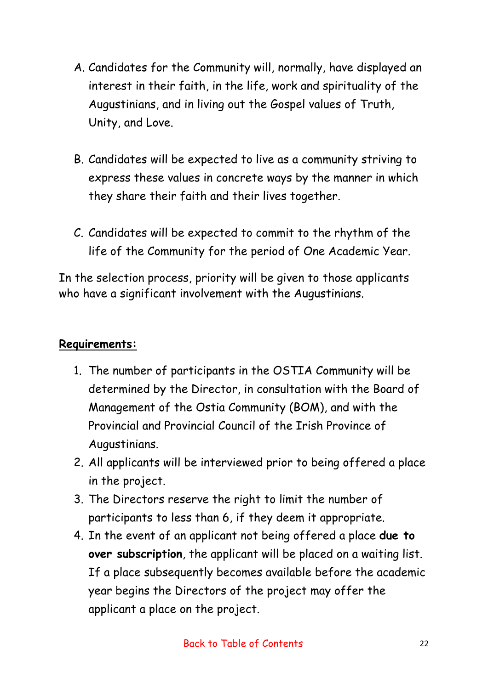- A. Candidates for the Community will, normally, have displayed an interest in their faith, in the life, work and spirituality of the Augustinians, and in living out the Gospel values of Truth, Unity, and Love.
- B. Candidates will be expected to live as a community striving to express these values in concrete ways by the manner in which they share their faith and their lives together.
- C. Candidates will be expected to commit to the rhythm of the life of the Community for the period of One Academic Year.

In the selection process, priority will be given to those applicants who have a significant involvement with the Augustinians.

### **Requirements:**

- 1. The number of participants in the OSTIA Community will be determined by the Director, in consultation with the Board of Management of the Ostia Community (BOM), and with the Provincial and Provincial Council of the Irish Province of Augustinians.
- 2. All applicants will be interviewed prior to being offered a place in the project.
- 3. The Directors reserve the right to limit the number of participants to less than 6, if they deem it appropriate.
- 4. In the event of an applicant not being offered a place **due to over subscription**, the applicant will be placed on a waiting list. If a place subsequently becomes available before the academic year begins the Directors of the project may offer the applicant a place on the project.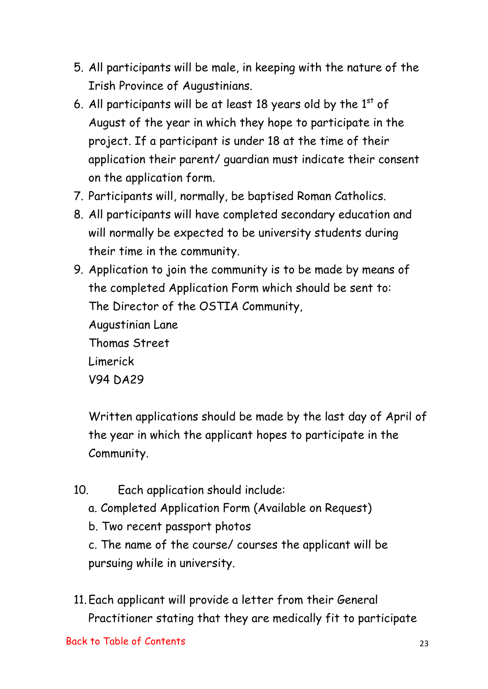- 5. All participants will be male, in keeping with the nature of the Irish Province of Augustinians.
- 6. All participants will be at least 18 years old by the  $1<sup>st</sup>$  of August of the year in which they hope to participate in the project. If a participant is under 18 at the time of their application their parent/ guardian must indicate their consent on the application form.
- 7. Participants will, normally, be baptised Roman Catholics.
- 8. All participants will have completed secondary education and will normally be expected to be university students during their time in the community.

9. Application to join the community is to be made by means of the completed Application Form which should be sent to: The Director of the OSTIA Community, Augustinian Lane Thomas Street Limerick V94 DA29

Written applications should be made by the last day of April of the year in which the applicant hopes to participate in the Community.

- 10. Each application should include:
	- a. Completed Application Form (Available on Request)
	- b. Two recent passport photos

c. The name of the course/ courses the applicant will be pursuing while in university.

11.Each applicant will provide a letter from their General Practitioner stating that they are medically fit to participate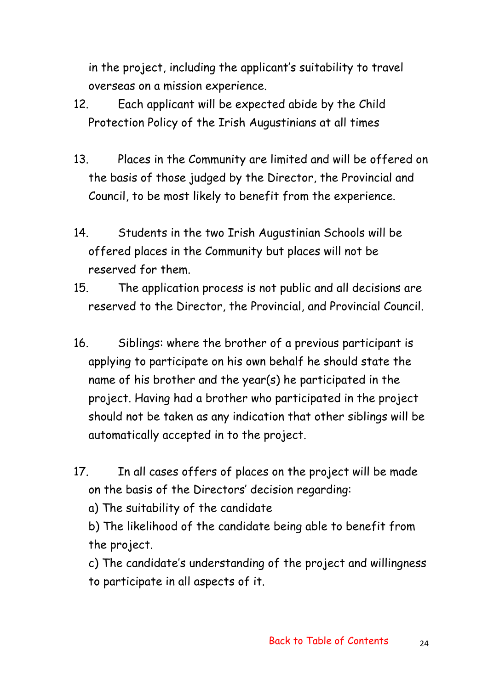in the project, including the applicant's suitability to travel overseas on a mission experience.

- 12. Each applicant will be expected abide by the Child Protection Policy of the Irish Augustinians at all times
- 13. Places in the Community are limited and will be offered on the basis of those judged by the Director, the Provincial and Council, to be most likely to benefit from the experience.
- 14. Students in the two Irish Augustinian Schools will be offered places in the Community but places will not be reserved for them.
- 15. The application process is not public and all decisions are reserved to the Director, the Provincial, and Provincial Council.
- 16. Siblings: where the brother of a previous participant is applying to participate on his own behalf he should state the name of his brother and the year(s) he participated in the project. Having had a brother who participated in the project should not be taken as any indication that other siblings will be automatically accepted in to the project.
- 17. In all cases offers of places on the project will be made on the basis of the Directors' decision regarding:
	- a) The suitability of the candidate
	- b) The likelihood of the candidate being able to benefit from the project.

c) The candidate's understanding of the project and willingness to participate in all aspects of it.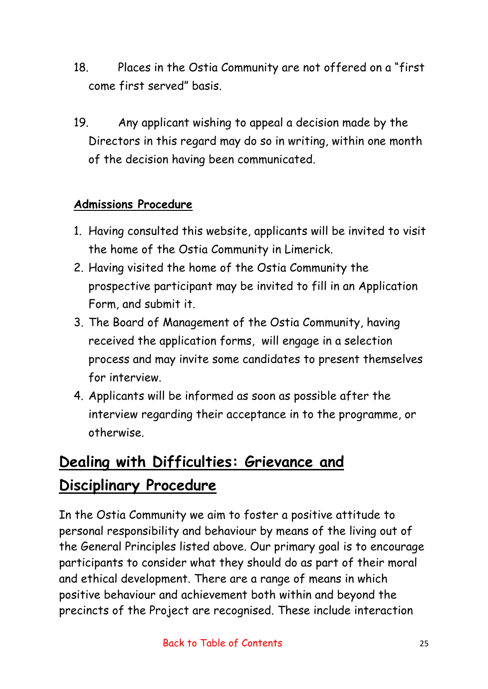- <span id="page-24-0"></span>18. Places in the Ostia Community are not offered on a "first come first served" basis.
- 19. Any applicant wishing to appeal a decision made by the Directors in this regard may do so in writing, within one month of the decision having been communicated.

### **Admissions Procedure**

- 1. Having consulted this website, applicants will be invited to visit the home of the Ostia Community in Limerick.
- 2. Having visited the home of the Ostia Community the prospective participant may be invited to fill in an Application Form, and submit it.
- 3. The Board of Management of the Ostia Community, having received the application forms, will engage in a selection process and may invite some candidates to present themselves for interview.
- 4. Applicants will be informed as soon as possible after the interview regarding their acceptance in to the programme, or otherwise.

# **Dealing with Difficulties: Grievance and Disciplinary Procedure**

In the Ostia Community we aim to foster a positive attitude to personal responsibility and behaviour by means of the living out of the General Principles listed above. Our primary goal is to encourage participants to consider what they should do as part of their moral and ethical development. There are a range of means in which positive behaviour and achievement both within and beyond the precincts of the Project are recognised. These include interaction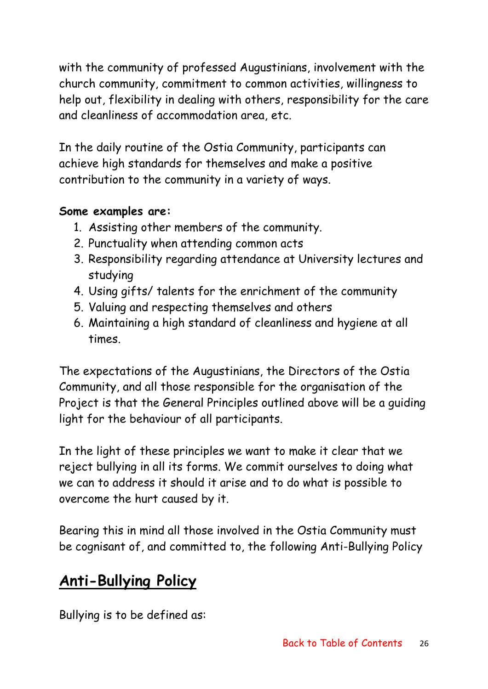with the community of professed Augustinians, involvement with the church community, commitment to common activities, willingness to help out, flexibility in dealing with others, responsibility for the care and cleanliness of accommodation area, etc.

In the daily routine of the Ostia Community, participants can achieve high standards for themselves and make a positive contribution to the community in a variety of ways.

### **Some examples are:**

- 1. Assisting other members of the community.
- 2. Punctuality when attending common acts
- 3. Responsibility regarding attendance at University lectures and studying
- 4. Using gifts/ talents for the enrichment of the community
- 5. Valuing and respecting themselves and others
- 6. Maintaining a high standard of cleanliness and hygiene at all times.

The expectations of the Augustinians, the Directors of the Ostia Community, and all those responsible for the organisation of the Project is that the General Principles outlined above will be a guiding light for the behaviour of all participants.

In the light of these principles we want to make it clear that we reject bullying in all its forms. We commit ourselves to doing what we can to address it should it arise and to do what is possible to overcome the hurt caused by it.

Bearing this in mind all those involved in the Ostia Community must be cognisant of, and committed to, the following Anti-Bullying Policy

# **Anti-Bullying Policy**

Bullying is to be defined as: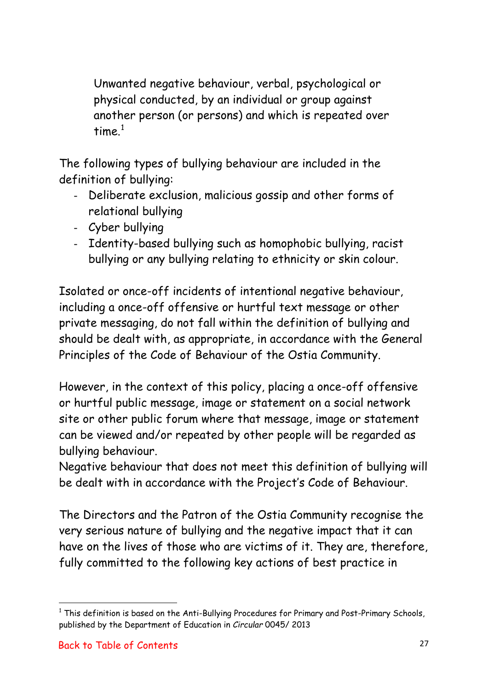Unwanted negative behaviour, verbal, psychological or physical conducted, by an individual or group against another person (or persons) and which is repeated over time $<sup>1</sup>$  $<sup>1</sup>$  $<sup>1</sup>$ </sup>

The following types of bullying behaviour are included in the definition of bullying:

- Deliberate exclusion, malicious gossip and other forms of relational bullying
- Cyber bullying
- Identity-based bullying such as homophobic bullying, racist bullying or any bullying relating to ethnicity or skin colour.

Isolated or once-off incidents of intentional negative behaviour, including a once-off offensive or hurtful text message or other private messaging, do not fall within the definition of bullying and should be dealt with, as appropriate, in accordance with the General Principles of the Code of Behaviour of the Ostia Community.

However, in the context of this policy, placing a once-off offensive or hurtful public message, image or statement on a social network site or other public forum where that message, image or statement can be viewed and/or repeated by other people will be regarded as bullying behaviour.

Negative behaviour that does not meet this definition of bullying will be dealt with in accordance with the Project's Code of Behaviour.

The Directors and the Patron of the Ostia Community recognise the very serious nature of bullying and the negative impact that it can have on the lives of those who are victims of it. They are, therefore, fully committed to the following key actions of best practice in

<span id="page-26-0"></span> $1$  This definition is based on the Anti-Bullying Procedures for Primary and Post-Primary Schools, published by the Department of Education in *Circular* 0045/ 2013